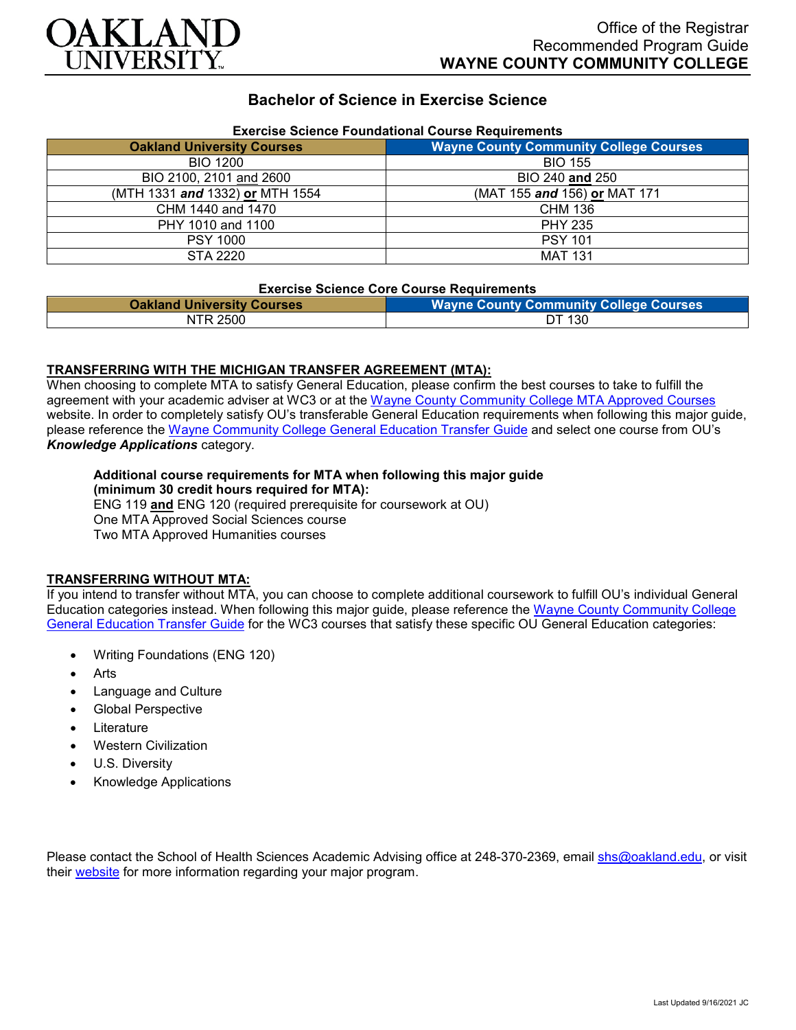

## **Bachelor of Science in Exercise Science**

| Exercise Science Foundational Course Requirements |                                               |
|---------------------------------------------------|-----------------------------------------------|
| <b>Oakland University Courses</b>                 | <b>Wayne County Community College Courses</b> |
| <b>BIO 1200</b>                                   | <b>BIO 155</b>                                |
| BIO 2100, 2101 and 2600                           | BIO 240 and 250                               |
| (MTH 1331 and 1332) or MTH 1554                   | (MAT 155 and 156) or MAT 171                  |
| CHM 1440 and 1470                                 | <b>CHM 136</b>                                |
| PHY 1010 and 1100                                 | <b>PHY 235</b>                                |
| <b>PSY 1000</b>                                   | <b>PSY 101</b>                                |
| STA 2220                                          | <b>MAT 131</b>                                |

# **Exercise Science Foundational Course Requirements**

#### **Exercise Science Core Course Requirements**

| <b>Oakland University Courses</b> | <b>Wayne County Community College Courses</b> |
|-----------------------------------|-----------------------------------------------|
| NTR 2500                          | DT 130                                        |

#### **TRANSFERRING WITH THE MICHIGAN TRANSFER AGREEMENT (MTA):**

When choosing to complete MTA to satisfy General Education, please confirm the best courses to take to fulfill the agreement with your academic adviser at WC3 or at the [Wayne County Community College MTA Approved Courses](http://www.wcccd.edu/students/pp_transfer_agreement.html) website. In order to completely satisfy OU's transferable General Education requirements when following this major guide, please reference the [Wayne Community College General Education Transfer Guide](https://www.oakland.edu/Assets/Oakland/program-guides/wayne-county-community-college/university-general-education-requirements/Wayne%20Gen%20Ed.pdf) and select one course from OU's *Knowledge Applications* category.

#### **Additional course requirements for MTA when following this major guide (minimum 30 credit hours required for MTA):**

ENG 119 **and** ENG 120 (required prerequisite for coursework at OU) One MTA Approved Social Sciences course Two MTA Approved Humanities courses

#### **TRANSFERRING WITHOUT MTA:**

If you intend to transfer without MTA, you can choose to complete additional coursework to fulfill OU's individual General Education categories instead. When following this major guide, please reference the [Wayne County Community College](https://www.oakland.edu/Assets/Oakland/program-guides/wayne-county-community-college/university-general-education-requirements/Wayne%20Gen%20Ed.pdf)  [General Education Transfer Guide](https://www.oakland.edu/Assets/Oakland/program-guides/wayne-county-community-college/university-general-education-requirements/Wayne%20Gen%20Ed.pdf) for the WC3 courses that satisfy these specific OU General Education categories:

- Writing Foundations (ENG 120)
- **Arts**
- Language and Culture
- Global Perspective
- **Literature**
- Western Civilization
- U.S. Diversity
- Knowledge Applications

Please contact the School of Health Sciences Academic Advising office at 248-370-2369, email [shs@oakland.edu,](mailto:shs@oakland.edu) or visit their [website](http://www.oakland.edu/shs/advising) for more information regarding your major program.